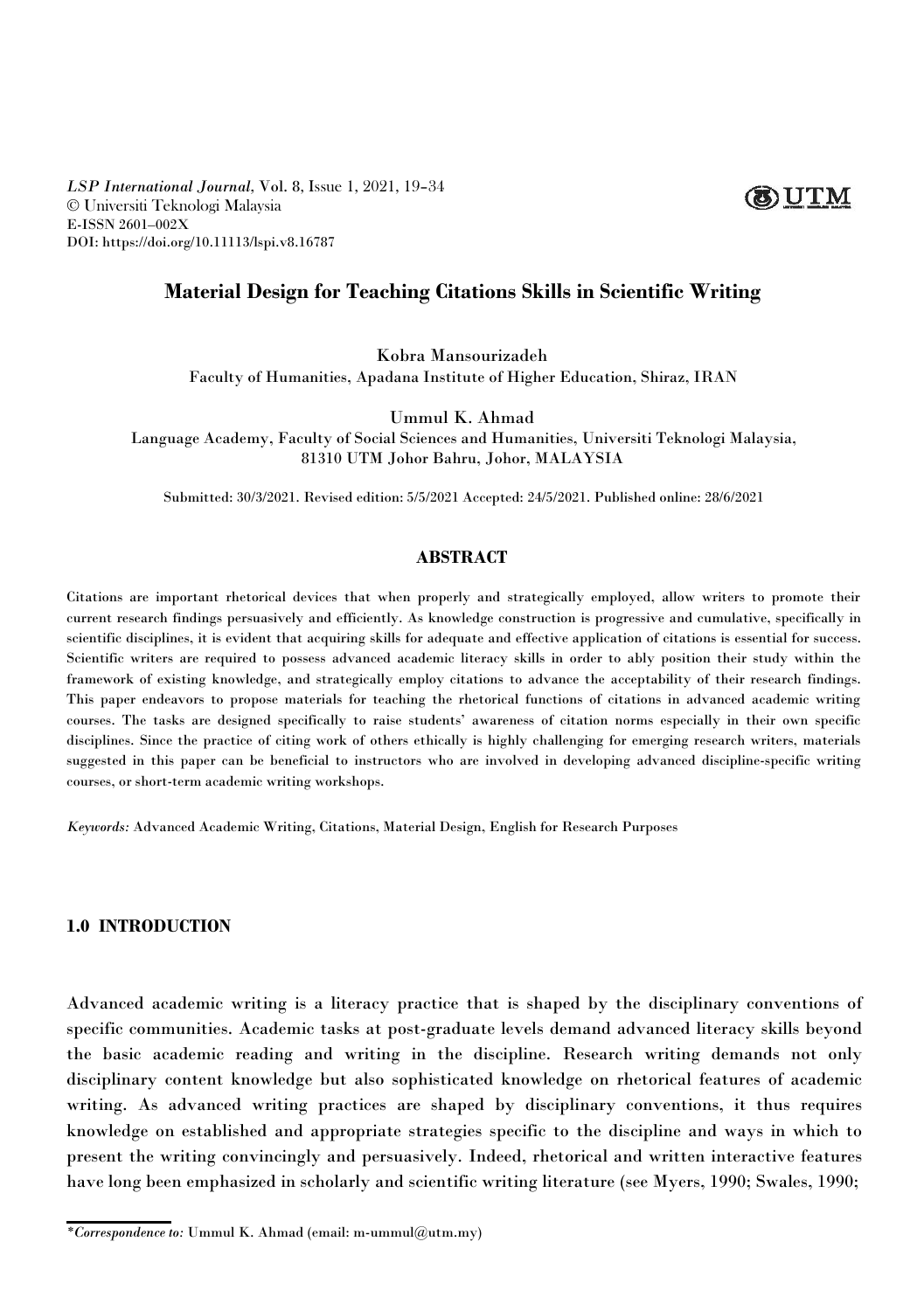*LSP International Journal,* Vol. 8, Issue 1, 2021, 19–34 © Universiti Teknologi Malaysia E-ISSN 2601–002X DOI: https://doi.org/10.11113/lspi.v8.16787

# **Material Design for Teaching Citations Skills in Scientific Writing**

Kobra Mansourizadeh

Faculty of Humanities, Apadana Institute of Higher Education, Shiraz, IRAN

Ummul K. Ahmad

Language Academy, Faculty of Social Sciences and Humanities, Universiti Teknologi Malaysia, 81310 UTM Johor Bahru, Johor, MALAYSIA

Submitted: 30/3/2021. Revised edition: 5/5/2021 Accepted: 24/5/2021. Published online: 28/6/2021

### **ABSTRACT**

Citations are important rhetorical devices that when properly and strategically employed, allow writers to promote their current research findings persuasively and efficiently. As knowledge construction is progressive and cumulative, specifically in scientific disciplines, it is evident that acquiring skills for adequate and effective application of citations is essential for success. Scientific writers are required to possess advanced academic literacy skills in order to ably position their study within the framework of existing knowledge, and strategically employ citations to advance the acceptability of their research findings. This paper endeavors to propose materials for teaching the rhetorical functions of citations in advanced academic writing courses. The tasks are designed specifically to raise students' awareness of citation norms especially in their own specific disciplines. Since the practice of citing work of others ethically is highly challenging for emerging research writers, materials suggested in this paper can be beneficial to instructors who are involved in developing advanced discipline-specific writing courses, or short-term academic writing workshops.

*Keywords:* Advanced Academic Writing, Citations, Material Design, English for Research Purposes

#### **1.0 INTRODUCTION**

Advanced academic writing is a literacy practice that is shaped by the disciplinary conventions of specific communities. Academic tasks at post-graduate levels demand advanced literacy skills beyond the basic academic reading and writing in the discipline. Research writing demands not only disciplinary content knowledge but also sophisticated knowledge on rhetorical features of academic writing. As advanced writing practices are shaped by disciplinary conventions, it thus requires knowledge on established and appropriate strategies specific to the discipline and ways in which to present the writing convincingly and persuasively. Indeed, rhetorical and written interactive features have long been emphasized in scholarly and scientific writing literature (see Myers, 1990; Swales, 1990;



*<sup>\*</sup>Correspondence to:* Ummul K. Ahmad (email: m-ummul@utm.my)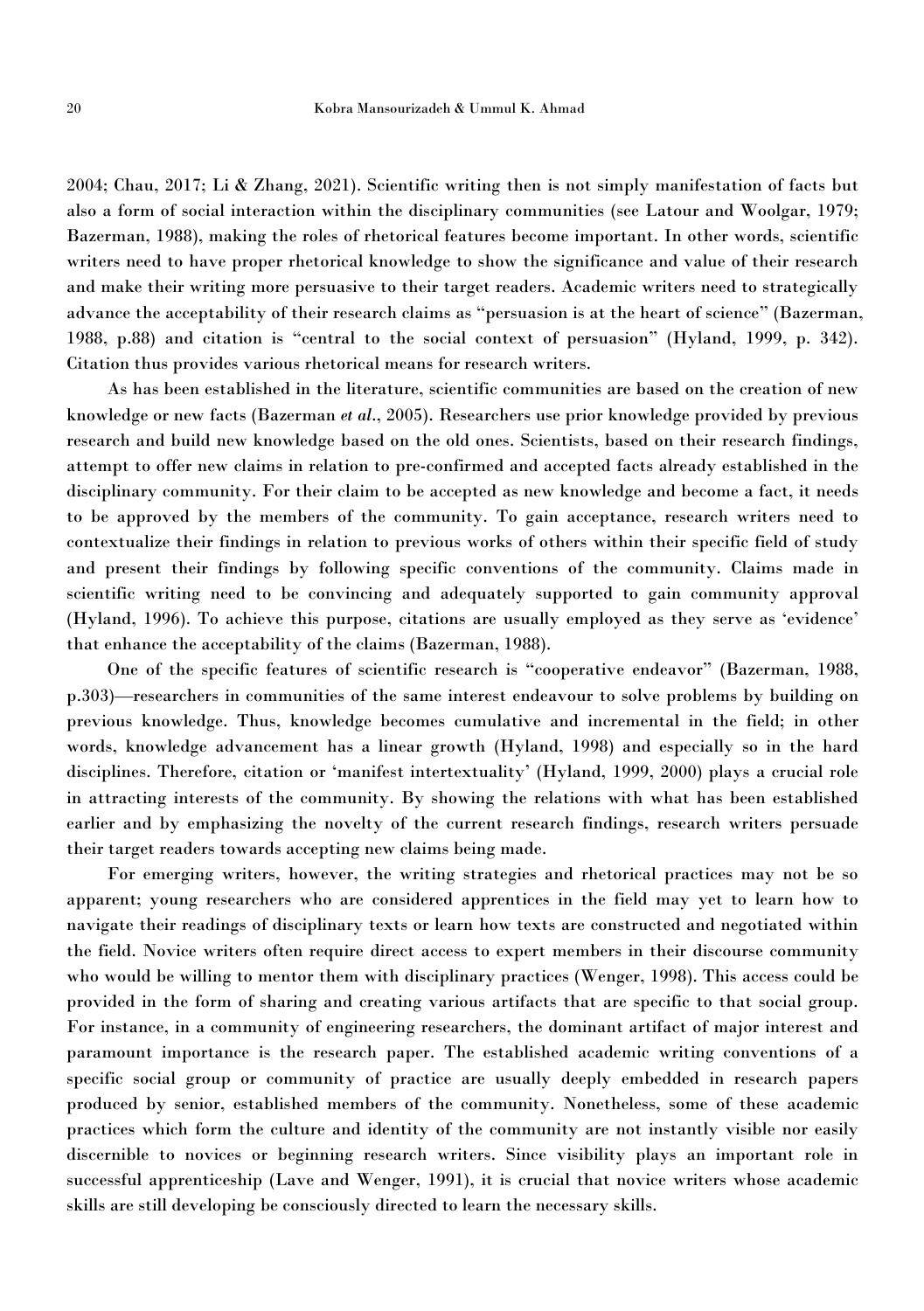2004; Chau, 2017; Li & Zhang, 2021). Scientific writing then is not simply manifestation of facts but also a form of social interaction within the disciplinary communities (see Latour and Woolgar, 1979; Bazerman, 1988), making the roles of rhetorical features become important. In other words, scientific writers need to have proper rhetorical knowledge to show the significance and value of their research and make their writing more persuasive to their target readers. Academic writers need to strategically advance the acceptability of their research claims as "persuasion is at the heart of science" (Bazerman, 1988, p.88) and citation is "central to the social context of persuasion" (Hyland, 1999, p. 342). Citation thus provides various rhetorical means for research writers.

As has been established in the literature, scientific communities are based on the creation of new knowledge or new facts (Bazerman *et al*., 2005). Researchers use prior knowledge provided by previous research and build new knowledge based on the old ones. Scientists, based on their research findings, attempt to offer new claims in relation to pre-confirmed and accepted facts already established in the disciplinary community. For their claim to be accepted as new knowledge and become a fact, it needs to be approved by the members of the community. To gain acceptance, research writers need to contextualize their findings in relation to previous works of others within their specific field of study and present their findings by following specific conventions of the community. Claims made in scientific writing need to be convincing and adequately supported to gain community approval (Hyland, 1996). To achieve this purpose, citations are usually employed as they serve as 'evidence' that enhance the acceptability of the claims (Bazerman, 1988).

One of the specific features of scientific research is "cooperative endeavor" (Bazerman, 1988, p.303)—researchers in communities of the same interest endeavour to solve problems by building on previous knowledge. Thus, knowledge becomes cumulative and incremental in the field; in other words, knowledge advancement has a linear growth (Hyland, 1998) and especially so in the hard disciplines. Therefore, citation or 'manifest intertextuality' (Hyland, 1999, 2000) plays a crucial role in attracting interests of the community. By showing the relations with what has been established earlier and by emphasizing the novelty of the current research findings, research writers persuade

their target readers towards accepting new claims being made.<br>For emerging writers, however, the writing strategies and rhetorical practices may not be so apparent; young researchers who are considered apprentices in the field may yet to learn how to navigate their readings of disciplinary texts or learn how texts are constructed and negotiated within the field. Novice writers often require direct access to expert members in their discourse community who would be willing to mentor them with disciplinary practices (Wenger, 1998). This access could be provided in the form of sharing and creating various artifacts that are specific to that social group. For instance, in a community of engineering researchers, the dominant artifact of major interest and paramount importance is the research paper. The established academic writing conventions of a specific social group or community of practice are usually deeply embedded in research papers<br>produced by senior, established members of the community. Nonetheless, some of these academic practices which form the culture and identity of the community are not instantly visible nor easily discernible to novices or beginning research writers. Since visibility plays an important role in successful apprenticeship (Lave and Wenger, 1991), it is crucial that novice writers whose academic skills are still developing be consciously directed to learn the necessary skills.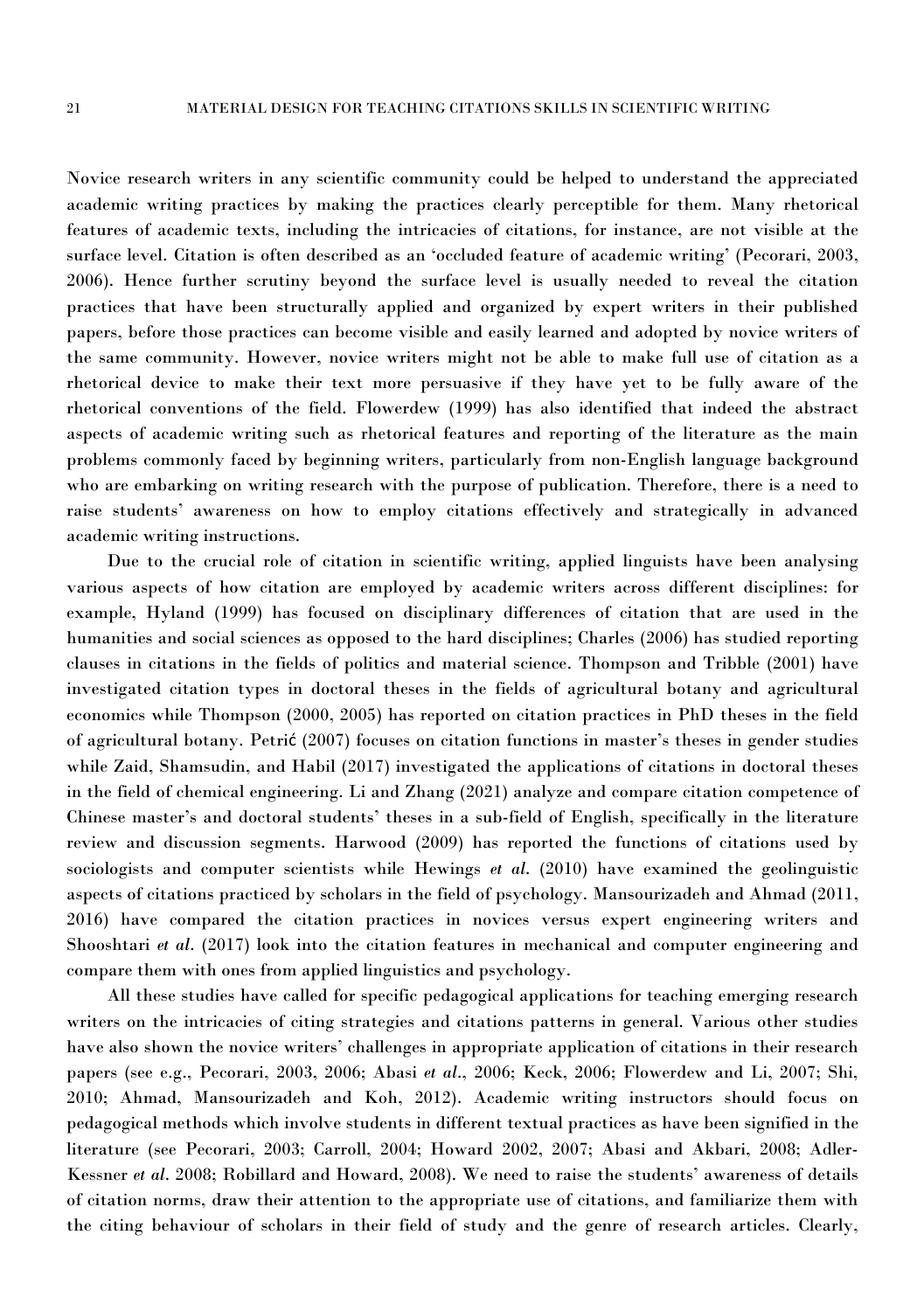Novice research writersin any scientific community could be helped to understand the appreciated academic writing practices by making the practices clearly perceptible for them. Many rhetorical features of academic texts, including the intricacies of citations, for instance, are not visible at the surface level. Citation is often described as an 'occluded feature of academic writing' (Pecorari, 2003, 2006). Hence further scrutiny beyond the surface level is usually needed to reveal the citation practices that have been structurally applied and organized by expertwriters in their published papers, before those practices can become visible and easily learned and adopted by novice writers of the same community. However, novice writers might not be able to make full use of citation as a rhetorical device to make their text more persuasive if they have yet to be fully aware of the rhetorical conventions of the field. Flowerdew (1999) has also identified that indeed the abstract aspects of academic writing such as rhetorical features and reporting of the literature as the main problems commonly faced by beginning writers, particularly from non-English language background who are embarking on writing research with the purpose of publication. Therefore, there is a need to raise students' awareness on how to employ citations effectively and strategically in advanced academic writing instructions.

Due to the crucial role of citation in scientific writing, applied linguists have been analysing various aspects of how citation are employed by academic writers across different disciplines: for example, Hyland (1999) has focused on disciplinary differences of citation that are used in the humanities and social sciences as opposed to the hard disciplines; Charles (2006) has studied reporting clauses in citations in the fields of politics and material science. Thompson and Tribble (2001) have investigated citation types in doctoral theses in the fields of agricultural botany and agricultural economics while Thompson (2000, 2005) has reported on citation practices in PhD theses in the field of agricultural botany. Petrić (2007) focuses on citation functions in master's theses in genderstudies while Zaid, Shamsudin, and Habil (2017) investigated the applications of citations in doctoral theses in the field of chemical engineering. Li and Zhang (2021) analyze and compare citation competence of Chinese master's and doctoral students' theses in a sub-field of English, specifically in the literature review and discussion segments. Harwood (2009) has reported the functions of citations used by sociologists and computer scientists while Hewings *et al*. (2010) have examined the geolinguistic aspects of citations practiced by scholars in the field of psychology. Mansourizadeh and Ahmad (2011, 2016) have compared the citation practices in novices versus expert engineering writers and Shooshtari *et al.* (2017) look into the citation features in mechanical and computer engineering and compare them with ones from applied linguistics and psychology.

All these studies have called for specific pedagogical applications for teaching emerging research writers on the intricacies of citing strategies and citations patterns in general. Various other studies have also shown the novice writers' challenges in appropriate application of citations in their research papers (see e.g., Pecorari, 2003, 2006; Abasi *et al*., 2006; Keck, 2006; Flowerdew and Li, 2007; Shi, 2010; Ahmad, Mansourizadeh and Koh, 2012). Academic writing instructors should focus on pedagogical methods which involve students in different textual practices as have been signified in the literature (see Pecorari, 2003; Carroll, 2004; Howard 2002, 2007; Abasi and Akbari, 2008; Adler- Kessner *et al*. 2008; Robillard and Howard, 2008). We need to raise the students' awareness of details of citation norms, draw their attention to the appropriate use of citations, and familiarize them with the citing behaviour of scholars in their field of study and the genre of research articles. Clearly,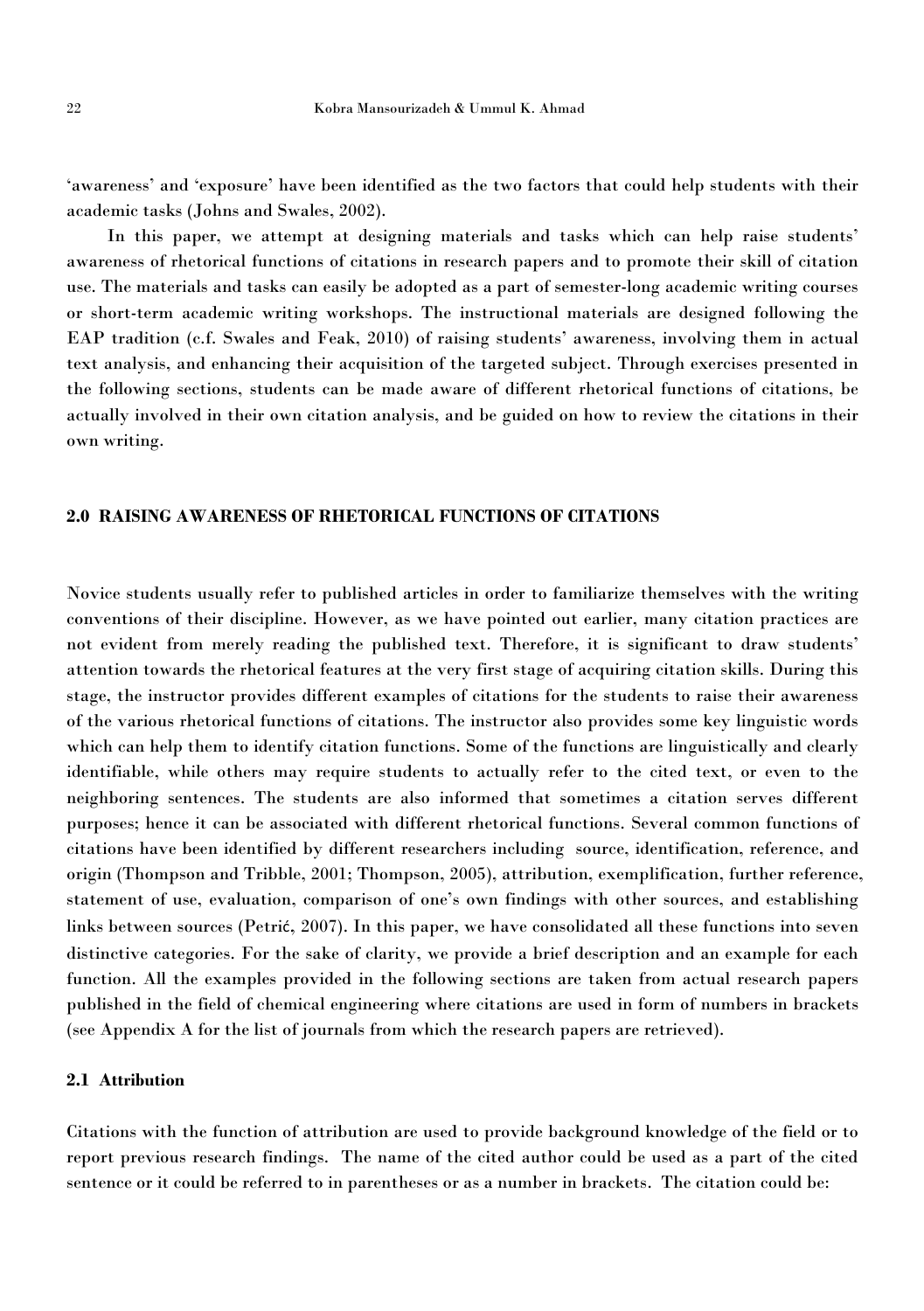'awareness' and 'exposure' have been identified as the two factors that could help students with their academic tasks (Johns and Swales, 2002).

In this paper, we attempt at designing materials and tasks which can help raise students' awareness of rhetorical functions of citations in research papers and to promote their skillof citation use. The materials and tasks can easily be adopted as a part of semester-long academic writing courses or short-term academic writing workshops. The instructional materials are designed following the EAP tradition (c.f. Swales and Feak, 2010) of raising students'awareness, involving them in actual text analysis, and enhancing their acquisition of the targeted subject. Through exercises presented in the following sections, students can be made aware of different rhetorical functions of citations, be actually involved in their own citation analysis, and be guided on how to review the citations in their own writing.

### **2.0 RAISING AWARENESS OF RHETORICAL FUNCTIONS OF CITATIONS**

Novice students usually refer to published articles in order to familiarize themselves with the writing conventions of their discipline. However, as we have pointed out earlier, many citation practices are not evident from merely reading the published text. Therefore, it is significant to draw students' attention towards the rhetorical features at the very first stage of acquiring citation skills. During this stage, the instructor provides different examples of citations for the students to raise their awareness of the various rhetorical functions of citations. The instructor also provides some key linguistic words which can help them to identify citation functions. Some of the functions are linguistically and clearly identifiable, while others may require students to actually refer to the cited text, or even to the neighboring sentences. The students are also informed that sometimes a citation serves different purposes; hence it can be associated with different rhetorical functions. Several common functions of citations have been identified by different researchers including source, identification, reference, and origin (Thompson and Tribble, 2001; Thompson, 2005), attribution, exemplification, further reference, statement of use, evaluation, comparison of one's own findings with other sources, and establishing links between sources (Petrić, 2007). In this paper, we have consolidated all these functions into seven distinctive categories. For the sake of clarity, we provide a brief description and an example for each function. All the examples provided in the following sections are taken from actual research papers published in the field of chemical engineering where citations are used in form of numbers in brackets (see Appendix A for the list of journals from which the research papers are retrieved).

#### **2.1 Attribution**

Citations with the function of attribution are used to provide background knowledge of the field or to report previous research findings. The name of the cited author could be used as a part of the cited sentence or it could be referred to in parentheses or as a number in brackets. The citation could be: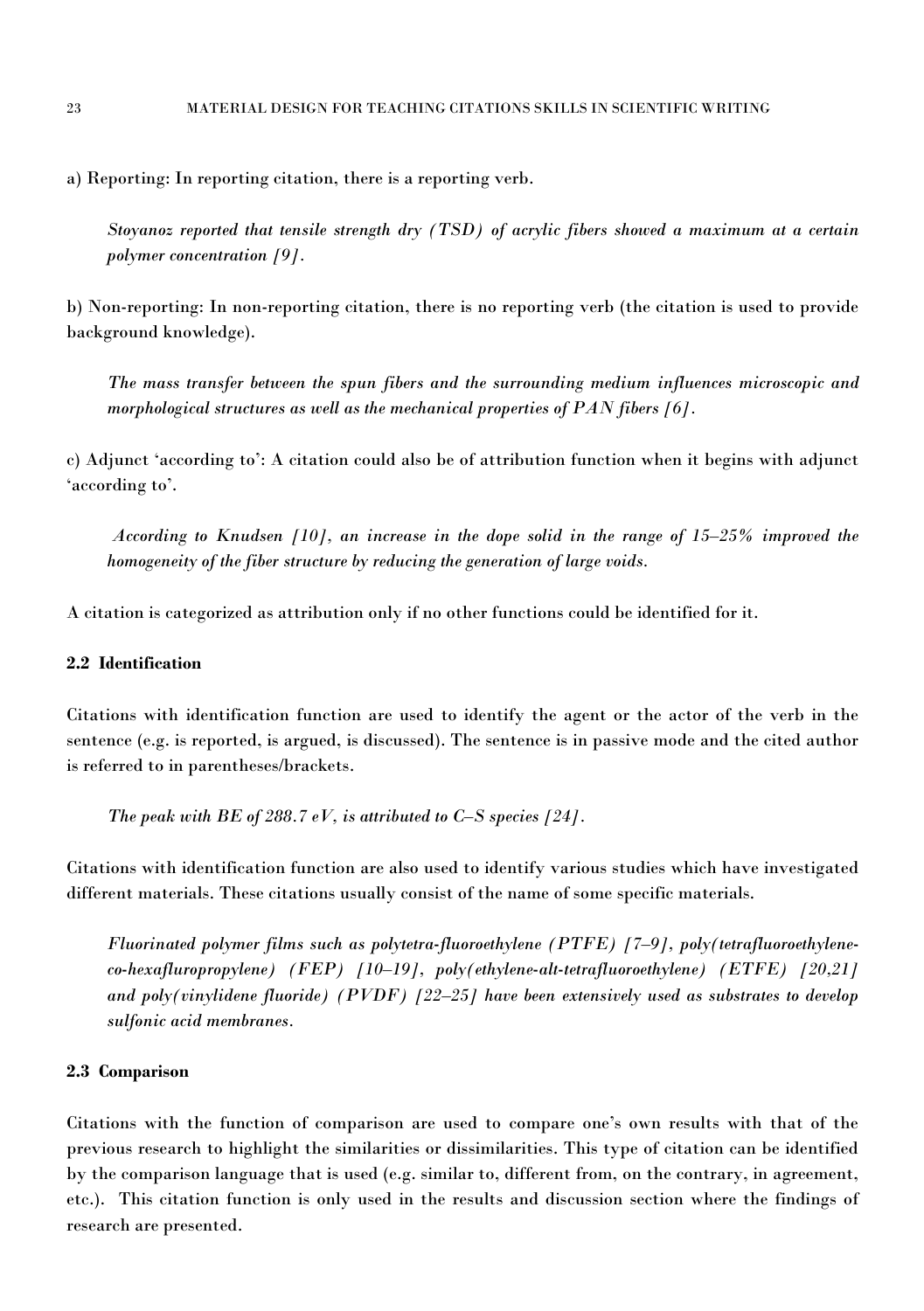a) Reporting: In reporting citation, there is a reporting verb.

*Stoyanoz reported that tensile strength dry (TSD) of acrylic fibers showed a maximum at a certain polymer concentration [9].*

b) Non-reporting: In non-reporting citation, there is no reporting verb (the citation is used to provide background knowledge).

*The mass transfer between the spun fibers and the surrounding medium influences microscopic and morphological structures as well as the mechanical properties ofPAN fibers [6].*

c) Adjunct 'according to': A citation could also be of attribution function when it begins with adjunct 'according to'.

*According to Knudsen [10], an increase in the dope solid in the range of 15–25% improved the homogeneity of the fiber structure by reducing the generation of large voids.*

A citation is categorized as attribution only if no other functions could be identified for it.

# **2.2 Identification**

Citations with identification function are used to identify the agent or the actor of the verb in the sentence (e.g. is reported, is argued, is discussed). The sentence isin passive mode and the cited author is referred to in parentheses/brackets.

*The peak with BE of 288.7 eV, is attributed to*  $C-S$  *species*  $[24]$ *.* 

Citations with identification function are also used to identify various studies which have investigated different materials. These citations usually consistof the name of some specific materials.

*Fluorinated polymer films such as polytetra-fluoroethylene (PTFE) [7–9], poly(tetrafluoroethylene co-hexafluropropylene) (FEP) [10–19], poly(ethylene-alt-tetrafluoroethylene) (ETFE) [20,21] and poly(vinylidene fluoride) (PVDF) [22–25] havebeen extensively used as substrates to develop sulfonic acid membranes.*

### **2.3 Comparison**

Citations with the function of comparison are used to compare one's own results with that of the previous research to highlight the similarities or dissimilarities. This type of citation can be identified by the comparison language that is used (e.g. similar to, different from, on the contrary, in agreement, etc.). This citation function is only used in the results and discussion section where the findings of research are presented.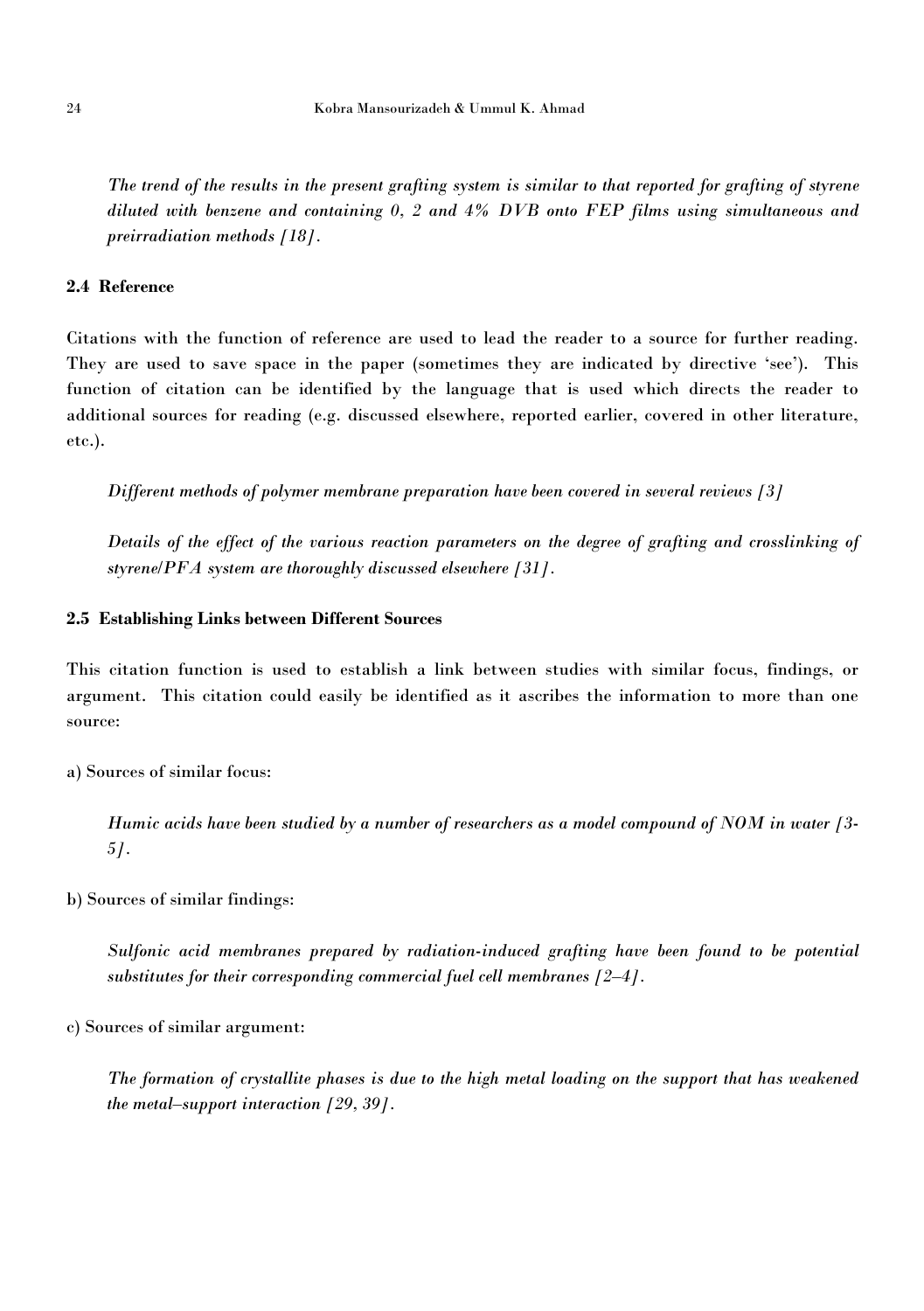The trend of the results in the present grafting system is similar to that reported for grafting of styrene *diluted with benzene and containing 0, 2 and 4% DVB onto FEP films using simultaneous and preirradiation methods [18].*

## **2.4 Reference**

Citations with the function of reference are used to lead the reader to a source for further reading. They are used to save space in the paper (sometimes they are indicated by directive 'see'). This function of citation can be identified by the language that is used which directs the reader to additional sources for reading (e.g. discussed elsewhere, reported earlier, covered in other literature, etc.).

*Different methods ofpolymer membrane preparation have been covered in several reviews [3]*

*Details of the effect of the various reaction parameters on the degree of grafting and crosslinking of styrene/PFA system are thoroughly discussed elsewhere [31].*

#### **2.5 Establishing Links between Different Sources**

This citation function is used to establish a link between studies with similar focus, findings, or argument. This citation could easily be identified as it ascribes the information to more than one source:

a) Sources of similar focus:

Humic acids have been studied by a number of researchers as a model compound of NOM in water [3-*5].*

b) Sources of similar findings:

*Sulfonic acid membranes prepared by radiation-induced grafting have been found tobe potential substitutes for their corresponding commercial fuel cell membranes [2–4].*

c) Sources of similar argument:

The formation of crystallite phases is due to the high metal loading on the support that has weakened *the metal–support interaction [29, 39].*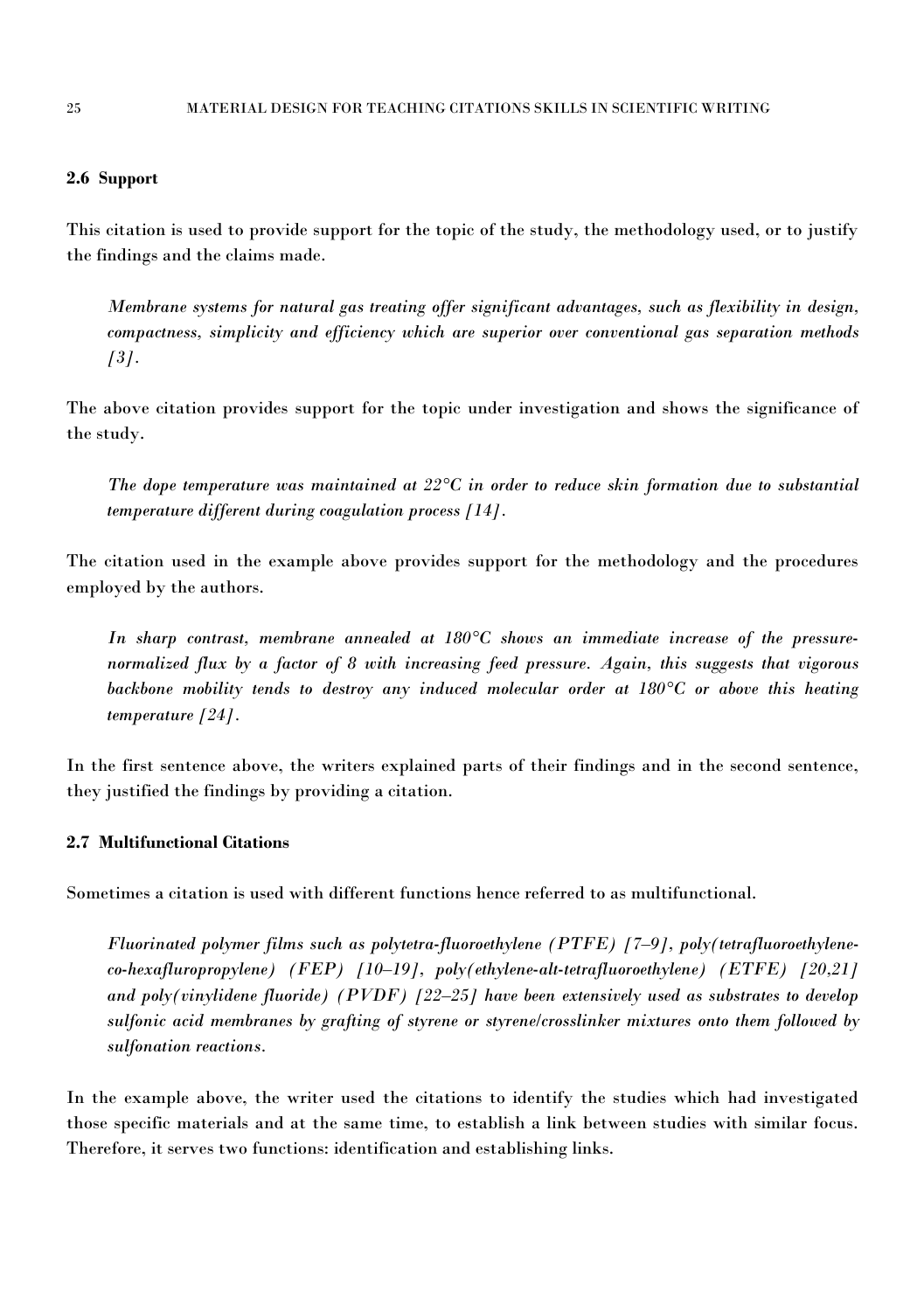### **2.6 Support**

This citation is used to provide support for the topic of the study, the methodology used, or to justify the findings and the claims made.

*Membrane systems for natural gas treating offer significant advantages, such as flexibility in design, compactness, simplicity and efficiency which are superior over conventional gas separation methods [3].*

The above citation provides support for the topic under investigation and shows the significance of the study.

*The dope temperature was maintained at 22°C in order to reduce skin formation due to substantial temperature different during coagulation process [14].*

The citation used in the example above provides support for the methodology and the procedures employed by the authors.

*In sharp contrast, membrane annealed at 180°C shows an immediate increase of the pressure normalized flux by a factor of 8 with increasing feed pressure. Again, this suggests thatvigorous backbone mobility tends to destroy any induced molecular order at 180°C or above this heating temperature [24].*

In the first sentence above, the writers explained parts of their findings and in the second sentence, they justified the findings by providing a citation.

### **2.7 Multifunctional Citations**

Sometimes a citation is used with different functions hence referred to as multifunctional.

*Fluorinated polymer films such as polytetra-fluoroethylene (PTFE) [7–9], poly(tetrafluoroethylene co-hexafluropropylene) (FEP) [10–19], poly(ethylene-alt-tetrafluoroethylene) (ETFE) [20,21] and poly(vinylidene fluoride) (PVDF) [22–25] havebeen extensively used as substrates to develop sulfonic acid membranes by grafting of styrene or styrene/crosslinker mixtures onto them followed by sulfonation reactions.*

In the example above, the writer used the citations to identify the studies which had investigated those specific materials and at the same time, to establish a link between studies with similar focus. Therefore, it serves two functions: identification and establishing links.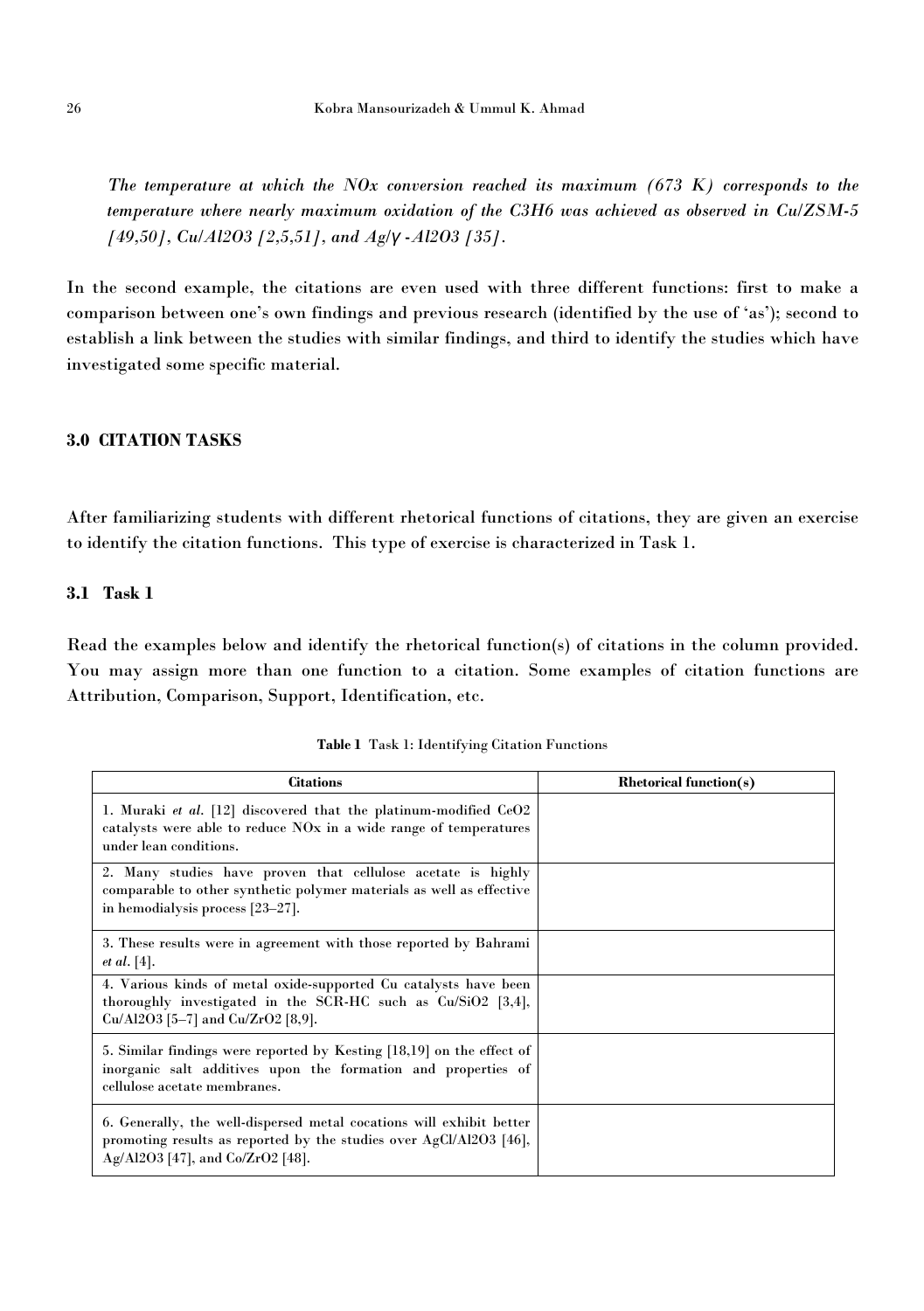*The temperature at which the NOx conversion reached its maximum (673 K) corresponds to the temperature where nearly maximum oxidation of the C3H6 was achieved as observed in Cu/ZSM-5 [49,50], Cu/Al2O3 [2,5,51], and Ag/γ -Al2O3 [35].*

In the second example, the citations are even used with three different functions: first to make a comparison between one's own findings and previous research (identified by the use of 'as'); second to establish a link between the studies with similar findings, and third to identify the studies which have investigated some specific material.

# **3.0 CITATION TASKS**

After familiarizing students with different rhetorical functions of citations, they are given an exercise to identify the citation functions. This type of exercise is characterized in Task 1.

### **3.1 Task 1**

Read the examples below and identify the rhetorical function(s) of citations in the column provided. You may assign more than one function to a citation. Some examples of citation functions are Attribution, Comparison, Support, Identification, etc.

| <b>Citations</b>                                                                                                                                                                | <b>Rhetorical function(s)</b> |
|---------------------------------------------------------------------------------------------------------------------------------------------------------------------------------|-------------------------------|
| 1. Muraki et al. $[12]$ discovered that the platinum-modified $CeO2$<br>catalysts were able to reduce NO <sub>x</sub> in a wide range of temperatures<br>under lean conditions. |                               |
| 2. Many studies have proven that cellulose acetate is highly<br>comparable to other synthetic polymer materials as well as effective<br>in hemodialysis process [23-27].        |                               |
| 3. These results were in agreement with those reported by Bahrami<br><i>et al.</i> [4].                                                                                         |                               |
| 4. Various kinds of metal oxide-supported Cu catalysts have been<br>thoroughly investigated in the SCR-HC such as Cu/SiO2 [3,4],<br>$Cu/Al2O3$ [5-7] and $Cu/ZrO2$ [8,9].       |                               |
| 5. Similar findings were reported by Kesting [18,19] on the effect of<br>inorganic salt additives upon the formation and properties of<br>cellulose acetate membranes.          |                               |
| 6. Generally, the well-dispersed metal cocations will exhibit better<br>promoting results as reported by the studies over AgCl/Al2O3 [46],<br>Ag/Al2O3 [47], and Co/ZrO2 [48].  |                               |

**Table 1** Task 1: Identifying Citation Functions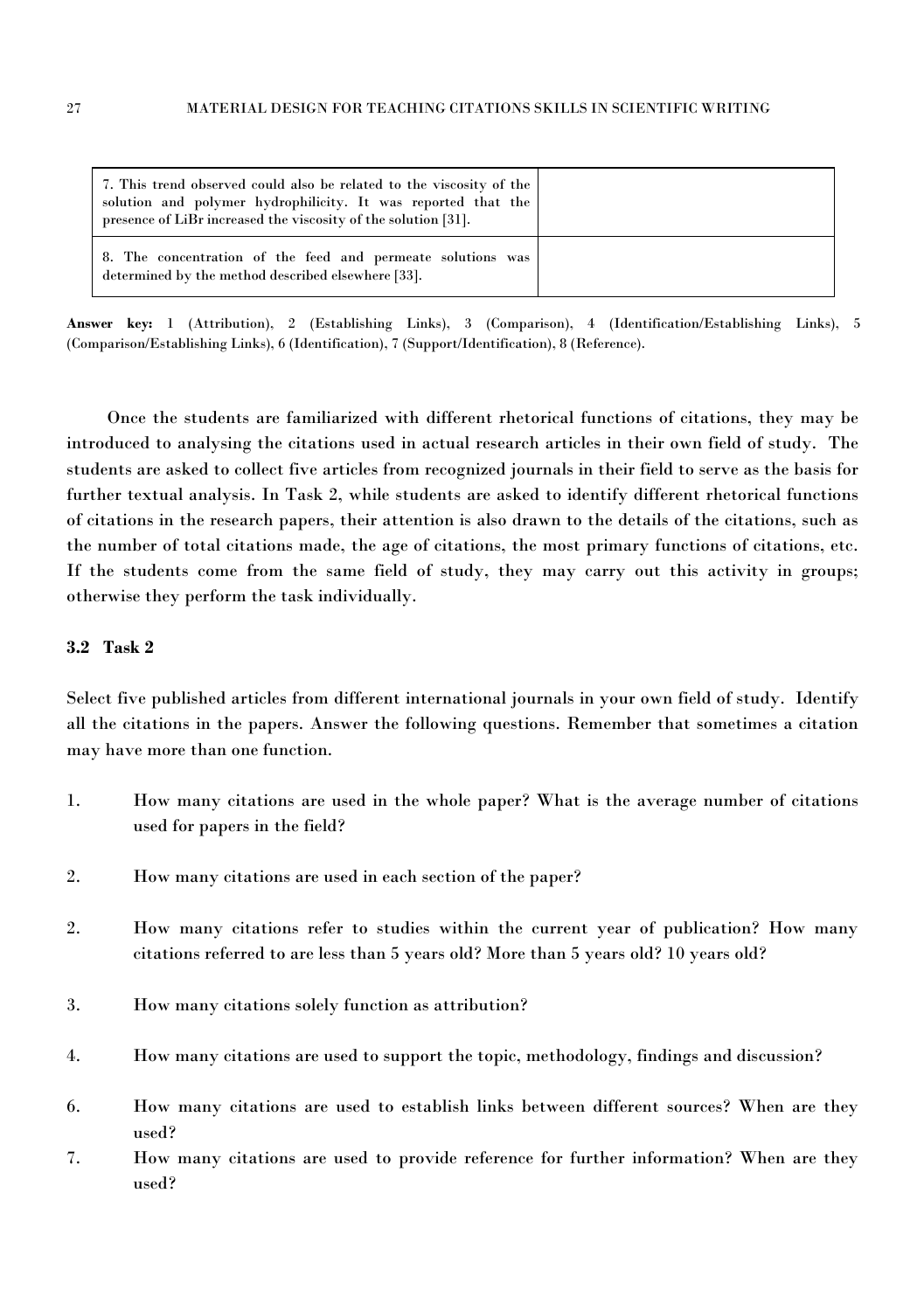| 7. This trend observed could also be related to the viscosity of the<br>solution and polymer hydrophilicity. It was reported that the<br>presence of LiBr increased the viscosity of the solution [31]. |  |
|---------------------------------------------------------------------------------------------------------------------------------------------------------------------------------------------------------|--|
| 8. The concentration of the feed and permeate solutions was<br>determined by the method described elsewhere [33].                                                                                       |  |

**Answer key:** 1 (Attribution), 2 (Establishing Links), 3 (Comparison), 4 (Identification/Establishing Links), 5 (Comparison/Establishing Links), 6 (Identification), 7 (Support/Identification), 8 (Reference).

Once the students are familiarized with different rhetorical functions of citations, they may be introduced to analysing the citations used in actual research articlesin their own field of study. The students are asked to collect five articles from recognized journals in their field to serve as the basis for further textual analysis. In Task 2, while students are asked to identify different rhetorical functions of citations in the research papers, their attention is also drawn to the details of the citations, such as the number of total citations made, the age of citations, the most primary functions of citations, etc. If the students come from the same field of study, they may carry out this activity in groups; otherwise they perform the task individually.

### **3.2 Task 2**

Select five published articles from different international journals in your own field of study. Identify all the citations in the papers. Answer the following questions. Remember that sometimes a citation may have more than one function.

- 1. How many citations are used in the whole paper? What is the average number of citations used for papers in the field?
- 2. How many citations are used in each section of the paper?
- 2. How many citations refer to studies within the current year of publication? How many citations referred to are less than 5 yearsold? More than 5 years old? 10 years old?
- 3. How many citations solely function as attribution?
- 4. How many citations are used to support the topic, methodology, findings and discussion?
- 6. How many citations are used to establish links between different sources? When are they used?
- 7. How many citations are used to provide reference for further information? When are they used?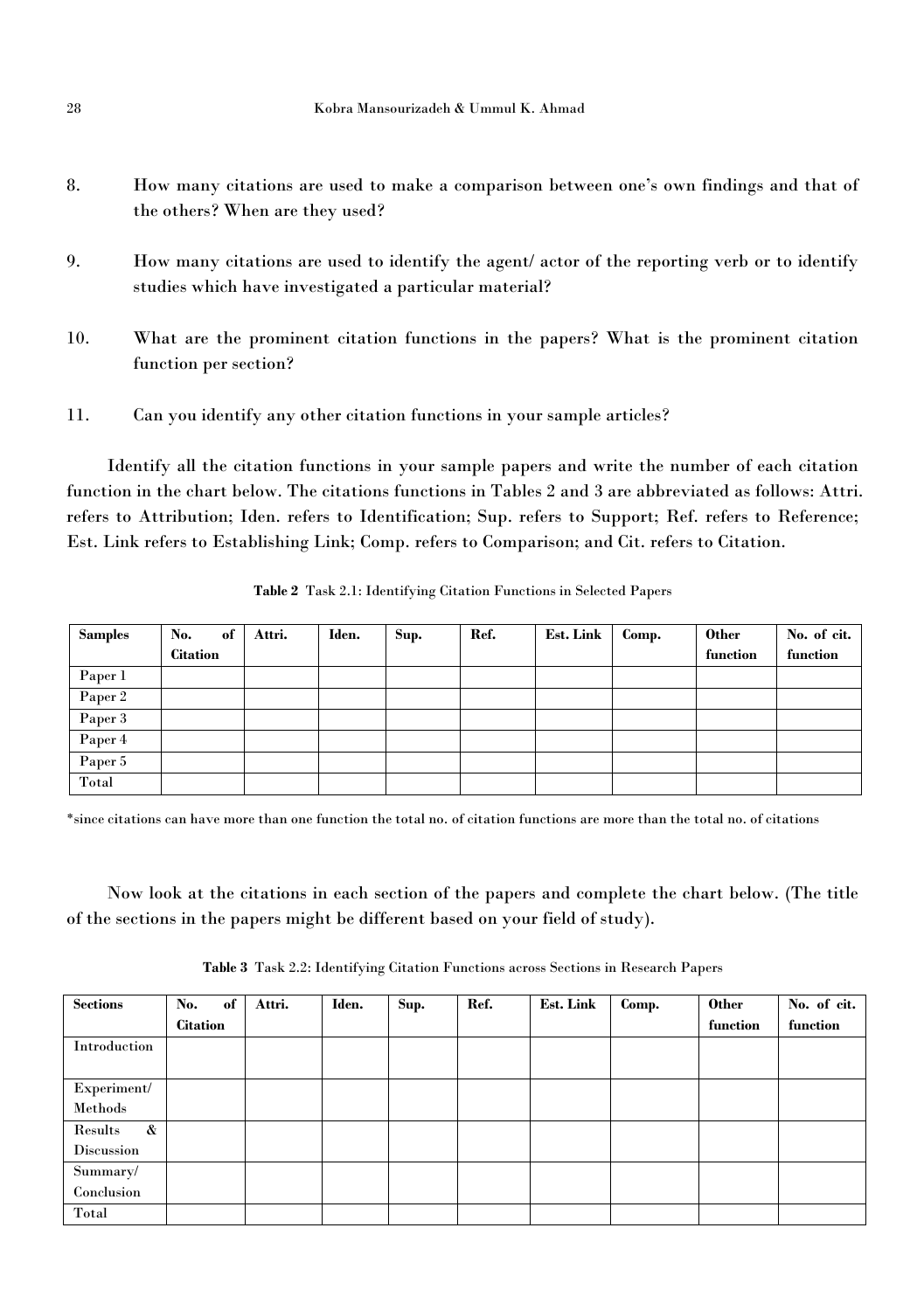- 8. How many citations are used to make a comparison between one's own findings and that of the others? When are they used?
- 9. How many citations are used to identify the agent/ actor of the reporting verb or to identify studies which have investigated a particular material?
- 10. What are the prominent citation functions in the papers? What is the prominent citation function per section?
- 11. Can you identify any other citation functions in your sample articles?

Identify all the citation functions in your sample papers and write the number of each citation function in the chart below. The citations functions in Tables 2 and 3are abbreviated as follows: Attri. refers to Attribution; Iden. refers to Identification; Sup. refers to Support; Ref. refers to Reference; Est. Link refers to Establishing Link; Comp. refers to Comparison; and Cit. refers to Citation.

| <b>Samples</b> | No.             | of | Attri. | Iden. | Sup. | Ref. | <b>Est. Link</b> | Comp. | <b>Other</b> | No. of cit. |
|----------------|-----------------|----|--------|-------|------|------|------------------|-------|--------------|-------------|
|                | <b>Citation</b> |    |        |       |      |      |                  |       | function     | function    |
| Paper 1        |                 |    |        |       |      |      |                  |       |              |             |
| Paper 2        |                 |    |        |       |      |      |                  |       |              |             |
| Paper 3        |                 |    |        |       |      |      |                  |       |              |             |
| Paper 4        |                 |    |        |       |      |      |                  |       |              |             |
| Paper 5        |                 |    |        |       |      |      |                  |       |              |             |
| Total          |                 |    |        |       |      |      |                  |       |              |             |

**Table 2** Task 2.1: Identifying Citation Functions in Selected Papers

\*since citations can havemore than one function the total no. of citation functions are more than the total no. of citations

Now look at the citations in each section of the papers and complete the chart below. (The title of the sections in the papers might be different based on your field of study).

**Table 3** Task 2.2: Identifying Citation Functions across Sections in Research Papers

| <b>Sections</b>              | of<br>No.       | Attri. | Iden. | Sup. | Ref. | <b>Est. Link</b> | Comp. | <b>Other</b> | No. of cit. |
|------------------------------|-----------------|--------|-------|------|------|------------------|-------|--------------|-------------|
|                              | <b>Citation</b> |        |       |      |      |                  |       | function     | function    |
| Introduction                 |                 |        |       |      |      |                  |       |              |             |
|                              |                 |        |       |      |      |                  |       |              |             |
| Experiment/                  |                 |        |       |      |      |                  |       |              |             |
| Methods                      |                 |        |       |      |      |                  |       |              |             |
| $\mathbf{\alpha}$<br>Results |                 |        |       |      |      |                  |       |              |             |
| Discussion                   |                 |        |       |      |      |                  |       |              |             |
| Summary/                     |                 |        |       |      |      |                  |       |              |             |
| Conclusion                   |                 |        |       |      |      |                  |       |              |             |
| Total                        |                 |        |       |      |      |                  |       |              |             |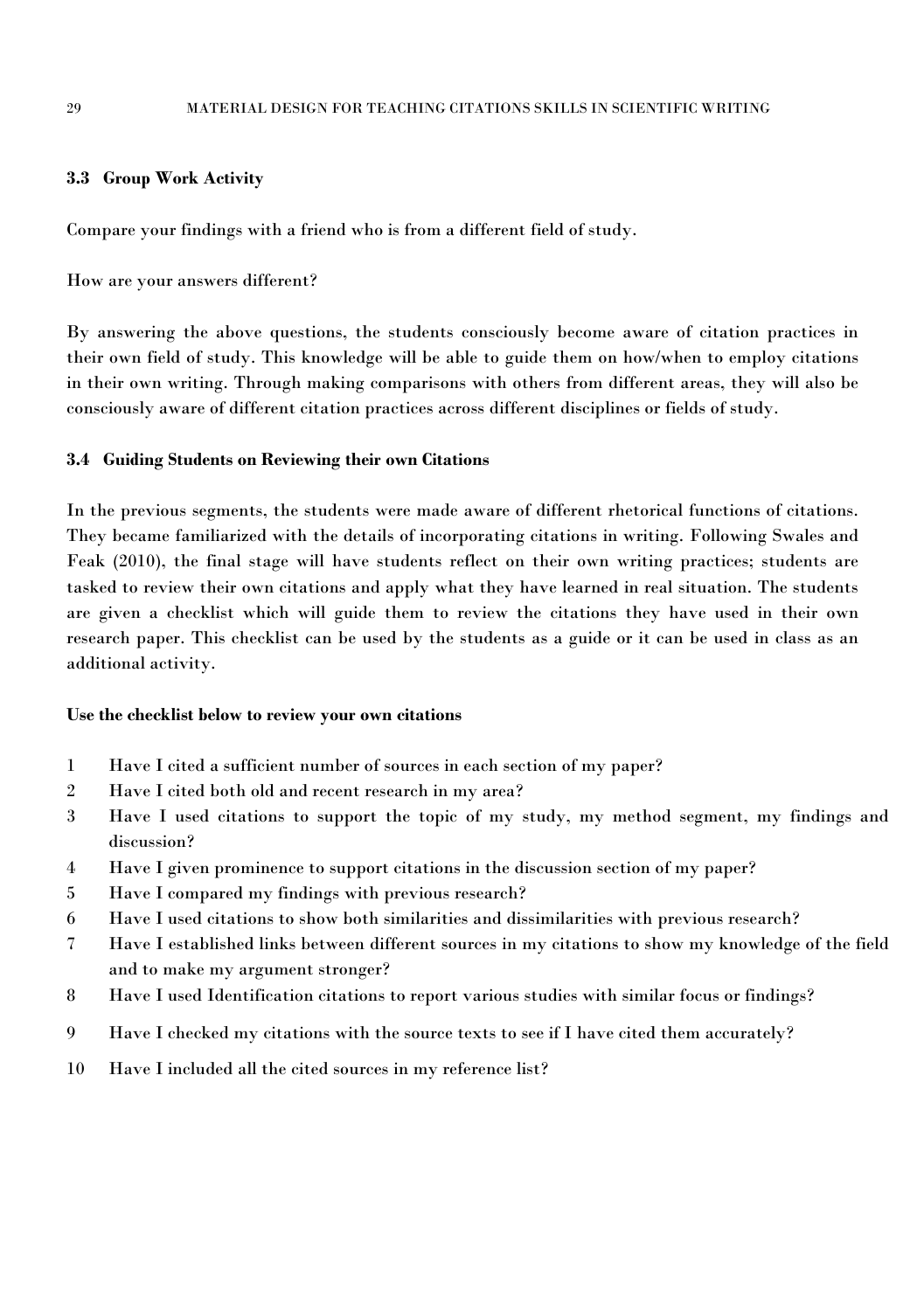### **3.3 Group Work Activity**

Compare your findings with a friend who is from a different field of study.

How are your answers different?

By answering the above questions, the students consciously become aware of citation practices in their own field of study. This knowledge will be able to guide them on how/when to employ citations in their own writing. Through making comparisons with others from different areas, they will also be consciously aware of different citation practices across different disciplines or fields of study.

### **3.4 Guiding Students on Reviewing theirown Citations**

In the previous segments, the students were made aware of different rhetorical functions of citations. They became familiarized with the details of incorporating citations in writing. Following Swales and Feak (2010), the final stage will have students reflect on their own writing practices; students are tasked to review their own citations and apply what they have learned in real situation. The students are given achecklist which will guide them to review the citations they have used in their own research paper. This checklist can be used by the students as a guide or it can be used in class as an additional activity.

#### **Use the checklist below to review yourown citations**

- 1 Have I cited asufficient number of sources in each section of my paper?
- 2 Have I cited both old and recent research in my area?
- 3 Have I used citations to support the topic of my study, my method segment, my findings and discussion?
- 4 Have I given prominence to support citations in the discussion section of my paper?
- 5 Have I compared my findings with previous research?
- 6 Have I used citations to show both similarities and dissimilarities with previous research?
- 7 Have I established links between different sources in my citations to show my knowledge of the field and to make my argument stronger?
- 8 Have I used Identification citations to report various studies with similar focus or findings?
- 9 Have I checked my citations with the source texts to see if I have cited them accurately?
- 10 Have I included all the cited sources in my reference list?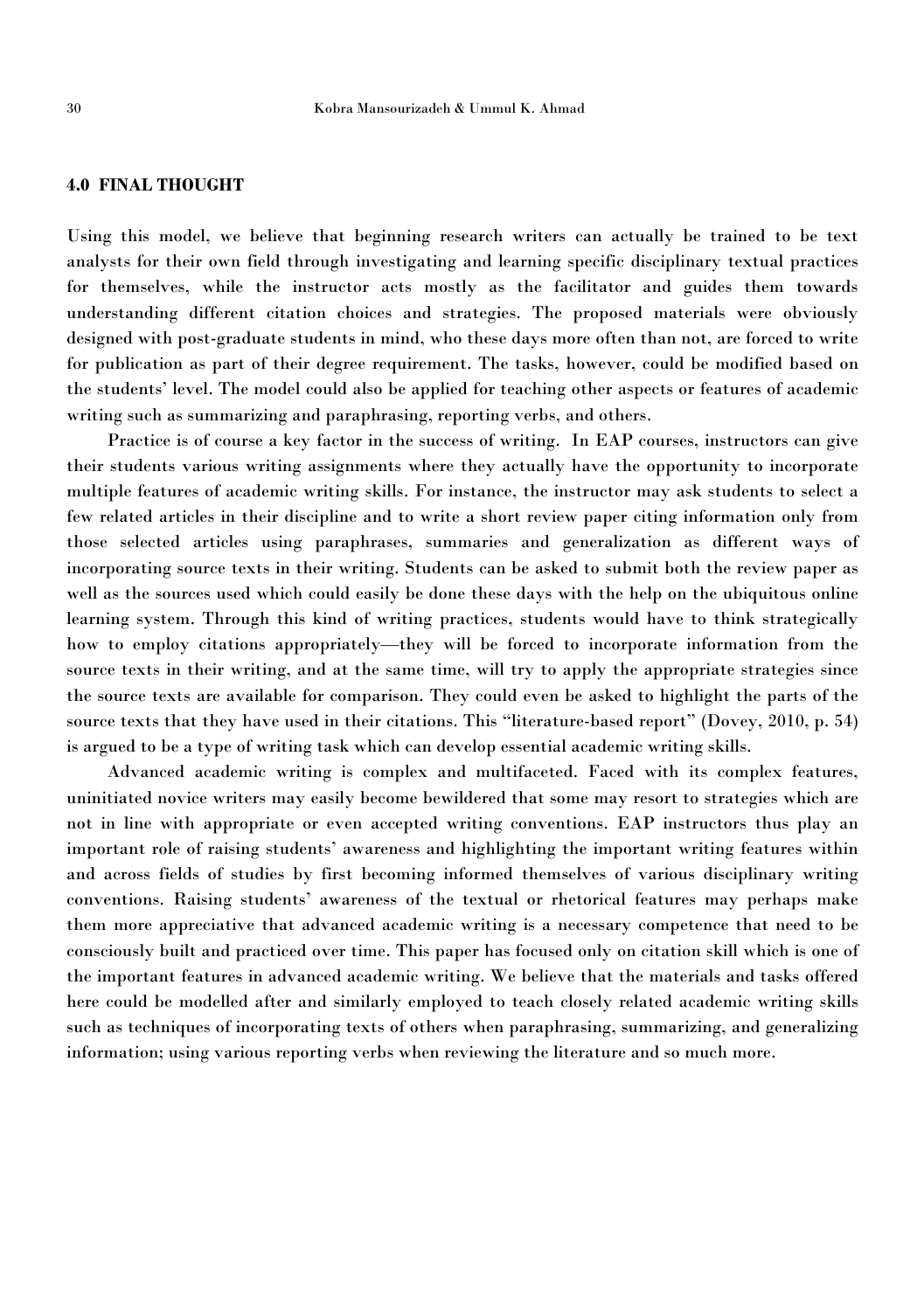### **4.0 FINAL THOUGHT**

Using this model, we believe that beginning research writers can actually be trained to be text analysts for their own field through investigating and learning specific disciplinary textual practices for themselves, while the instructor acts mostly as the facilitator and guides them towards understanding different citation choices and strategies.The proposed materials were obviously designed with post-graduate students in mind, who these days more often than not, are forced to write for publication as part of their degree requirement. The tasks, however, could be modified based on the students' level. The model could also be applied for teaching other aspects or features of academic writing such as summarizing and paraphrasing, reporting verbs, and others.

Practice is of course a key factor in the success of writing. In EAP courses, instructors can give their students various writing assignments where they actually have the opportunity to incorporate multiple features of academic writing skills. For instance, the instructor may ask students to select a few related articles in their discipline and to write a short review paper citing information only from those selected articles using paraphrases, summaries and generalization as different ways of incorporating source texts in their writing. Students can be asked to submit both the review paper as well as the sources used which could easily be done these days with the help on the ubiquitous online learning system. Through this kind of writing practices, students would have to think strategically how to employ citations appropriately—they will be forced to incorporate information from the source texts in their writing, and at the same time, will try to apply the appropriate strategies since the source texts are available for comparison. They could even be asked to highlight the parts of the source texts that they have used in their citations. This "literature-based report" (Dovey, 2010, p. 54) is argued to be a type of writing task which can develop essential academic writing skills.

Advanced academic writing is complex and multifaceted. Faced with its complex features, uninitiated novice writers may easily become bewildered that some may resort to strategies which are not in line with appropriate or even accepted writing conventions. EAP instructors thus play an important role of raising students'awareness and highlighting the important writing features within and acrossfields of studies by first becoming informed themselves of various disciplinary writing conventions. Raising students' awareness of the textual or rhetorical features may perhaps make them more appreciative that advanced academic writing is a necessary competence that need to be consciously built and practiced over time. This paper has focused only on citation skill which is one of the important features in advanced academic writing. We believe that the materials and tasks offered here could be modelled after and similarly employed to teach closely related academic writing skills such as techniques of incorporating texts of others when paraphrasing, summarizing, and generalizing information; using various reporting verbs when reviewing the literature and so much more.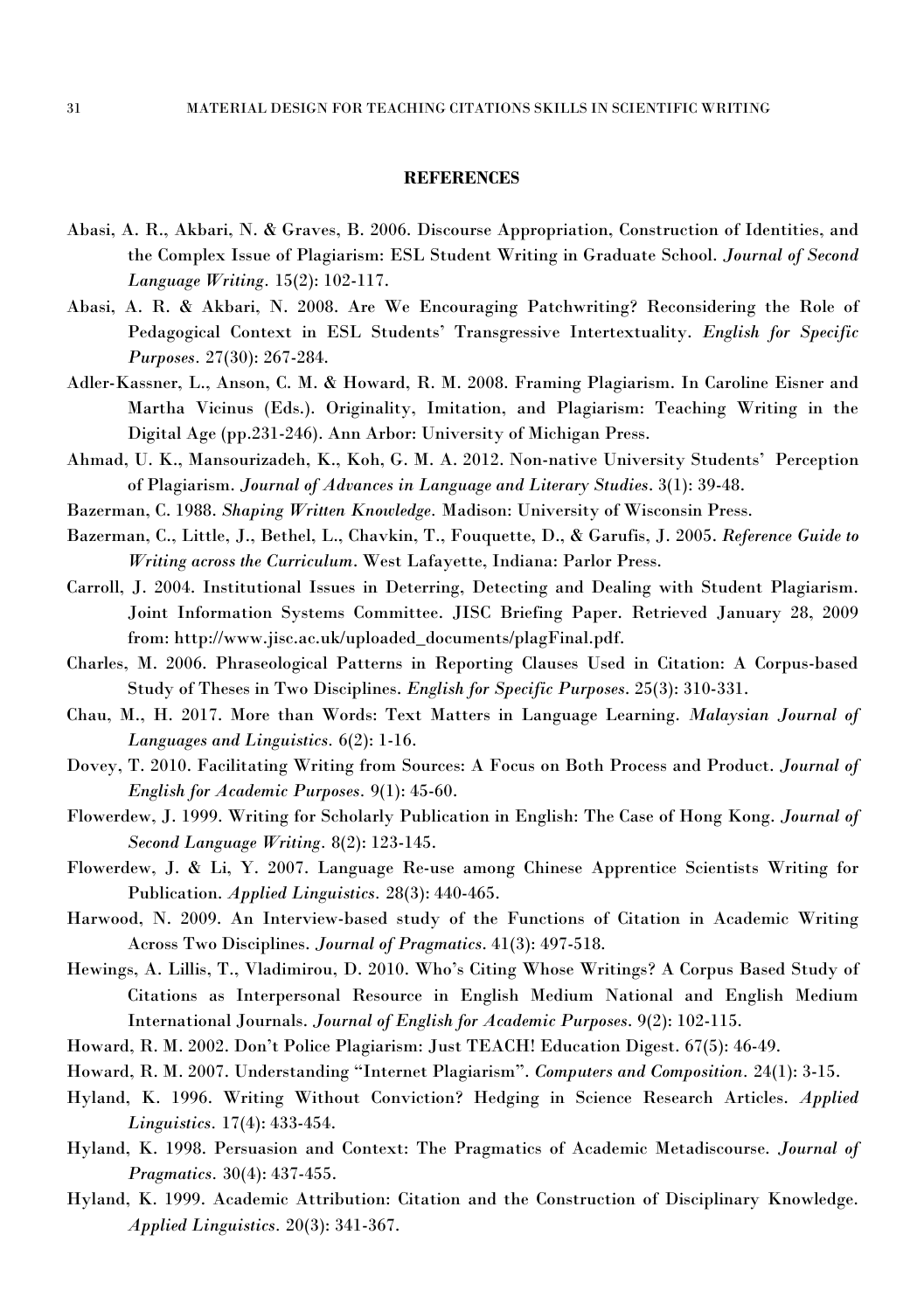#### **REFERENCES**

- Abasi, A. R., Akbari, N. & Graves, B. 2006. Discourse Appropriation, Construction of Identities, and the Complex Issue of Plagiarism: ESL Student Writing in Graduate School. *Journal of Second Language Writing.* 15(2): 102-117.
- Abasi, A. R. & Akbari, N. 2008. Are We Encouraging Patchwriting? Reconsidering the Role of Pedagogical Context in ESL Students' Transgressive Intertextuality. *English for Specific Purposes.* 27(30): 267-284.
- Adler-Kassner, L., Anson, C. M. & Howard, R. M. 2008. Framing Plagiarism. In Caroline Eisner and Martha Vicinus (Eds.). Originality, Imitation, and Plagiarism: Teaching Writing in the Digital Age (pp.231-246). Ann Arbor: University of Michigan Press.
- Ahmad, U. K., Mansourizadeh, K., Koh, G. M. A. 2012. Non-native University Students' Perception of Plagiarism. *Journal of Advances in Language and Literary Studies*. 3(1): 39-48.
- Bazerman, C. 1988. *Shaping Written Knowledge.* Madison: University of Wisconsin Press.
- Bazerman, C., Little, J., Bethel, L., Chavkin, T., Fouquette, D., & Garufis, J. 2005. *Reference Guide to Writing across the Curriculum*. West Lafayette, Indiana: Parlor Press.
- Carroll, J. 2004. Institutional Issues in Deterring, Detecting and Dealing with Student Plagiarism. Joint Information Systems Committee. JISC Briefing Paper. Retrieved January 28, 2009 from: [http://www.jisc.ac.uk/uploaded\\_documents/plagFinal.pdf.](http://www.jisc.ac.uk/uploaded_documents/plagFinal.pdf)
- Charles, M. 2006. Phraseological Patterns in Reporting Clauses Used in Citation: A Corpus-based Study of Theses in Two Disciplines. *English for Specific Purposes*. 25(3): 310-331.
- Chau, M., H. 2017. More than Words: Text Matters in Language Learning. *Malaysian Journal of Languages and Linguistics.* 6(2): 1-16.
- Dovey, T. 2010. Facilitating Writing from Sources: A Focus on Both Processand Product. *Journal of English for Academic Purposes.* 9(1): 45-60.
- Flowerdew, J. 1999. Writing for Scholarly Publication in English: The Case of Hong Kong. *Journal of Second Language Writing.* 8(2): 123-145.
- Flowerdew, J. & Li, Y. 2007. Language Re-use among Chinese Apprentice Scientists Writing for Publication. *Applied Linguistics.* 28(3): 440-465.
- Harwood, N. 2009. An Interview-based study of the Functions of Citation in Academic Writing Across Two Disciplines. *Journal of Pragmatics*. 41(3): 497-518.
- Hewings, A. Lillis, T., Vladimirou, D. 2010. Who's Citing Whose Writings? A Corpus Based Study of Citations as Interpersonal Resource in English Medium National and English Medium International Journals. *Journal of English for Academic Purposes*. 9(2): 102-115.
- Howard, R. M. 2002. Don't Police Plagiarism: Just TEACH! Education Digest. 67(5): 46-49.
- Howard, R. M. 2007. Understanding "Internet Plagiarism". *Computers and Composition.* 24(1): 3-15.
- Hyland, K. 1996. Writing Without Conviction? Hedging in Science Research Articles. *Applied Linguistics.* 17(4): 433-454.
- Hyland, K. 1998. Persuasion and Context: The Pragmatics of Academic Metadiscourse. *Journal of Pragmatics.* 30(4): 437-455.
- Hyland, K. 1999. Academic Attribution: Citation and the Construction of Disciplinary Knowledge. *Applied Linguistics.* 20(3): 341-367.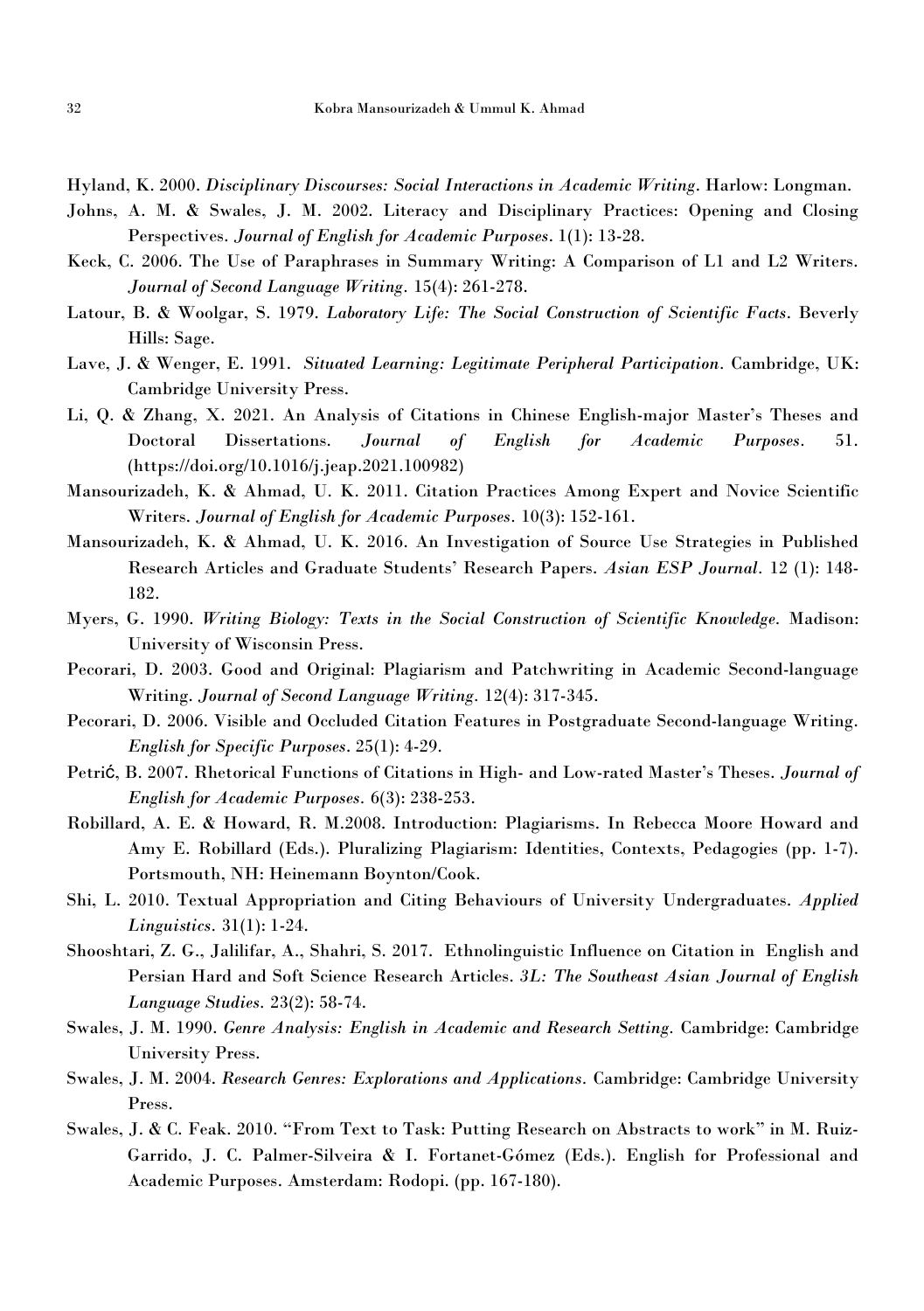Hyland, K. 2000. *Disciplinary Discourses: Social Interactions in Academic Writing*. Harlow: Longman.

- Johns, A. M. & Swales, J. M. 2002. Literacy and Disciplinary Practices: Opening and Closing Perspectives. *Journal of English for Academic Purposes*. 1(1): 13-28.
- Keck, C. 2006. The Use of Paraphrases in Summary Writing: A Comparison of L1 and L2 Writers. *Journal of Second Language Writing.* 15(4): 261-278.
- Latour, B. & Woolgar, S. 1979. *Laboratory Life: The Social Construction of Scientific Facts*. Beverly Hills: Sage.
- Lave, J. & Wenger, E. 1991. *Situated Learning: Legitimate Peripheral Participation.* Cambridge, UK: Cambridge University Press.
- Li, Q. & Zhang, X. 2021. An Analysis of Citations in Chinese English-major Master's Theses and Doctoral Dissertations. *Journal of English for Academic Purposes.* 51. (https://doi.org/10.1016/j.jeap.2021.100982)
- Mansourizadeh, K. & Ahmad, U. K. 2011. Citation Practices Among Expert and Novice Scientific Writers. *Journal of English for Academic Purposes.* 10(3): 152-161.
- Mansourizadeh, K. & Ahmad, U. K. 2016. An Investigation of Source Use Strategies in Published Research Articles and Graduate Students' Research Papers. *Asian ESP Journal.* 12 (1): 148- 182.
- Myers, G. 1990. *Writing Biology: Texts in the Social Construction of Scientific Knowledge.* Madison: University of Wisconsin Press.
- Pecorari, D. 2003. Good and Original: Plagiarism and Patchwriting in Academic Second-language Writing. *Journal of Second Language Writing.* 12(4): 317-345.
- Pecorari, D. 2006. Visible and Occluded Citation Features in Postgraduate Second-language Writing. *English for Specific Purposes*. 25(1): 4-29.
- Petrić, B. 2007. Rhetorical Functions of Citations in High- and Low-rated Master's Theses. *Journal of English for Academic Purposes.* 6(3): 238-253.
- Robillard, A. E. & Howard, R. M.2008. Introduction: Plagiarisms. In Rebecca Moore Howard and Amy E. Robillard (Eds.). Pluralizing Plagiarism: Identities, Contexts, Pedagogies (pp. 1-7). Portsmouth, NH: Heinemann Boynton/Cook.
- Shi, L. 2010. Textual Appropriation and Citing Behaviours of University Undergraduates. *Applied Linguistics.* 31(1): 1-24.
- Shooshtari, Z. G., Jalilifar, A., Shahri, S. 2017. Ethnolinguistic Influence on Citation in English and Persian Hard and Soft Science Research Articles. *3L: The Southeast Asian Journal of English Language Studies.* 23(2): 58-74.
- Swales, J. M. 1990. *Genre Analysis: English in Academic and Research Setting.* Cambridge: Cambridge University Press.
- Swales, J. M. 2004. *Research Genres: Explorations and Applications.* Cambridge: Cambridge University Press.
- Swales, J. & C. Feak. 2010. "From Text to Task: Putting Research on Abstracts to work" in M. Ruiz- Garrido, J. C. Palmer-Silveira & I. Fortanet-Gómez (Eds.). English for Professional and Academic Purposes. Amsterdam: Rodopi. (pp. 167-180).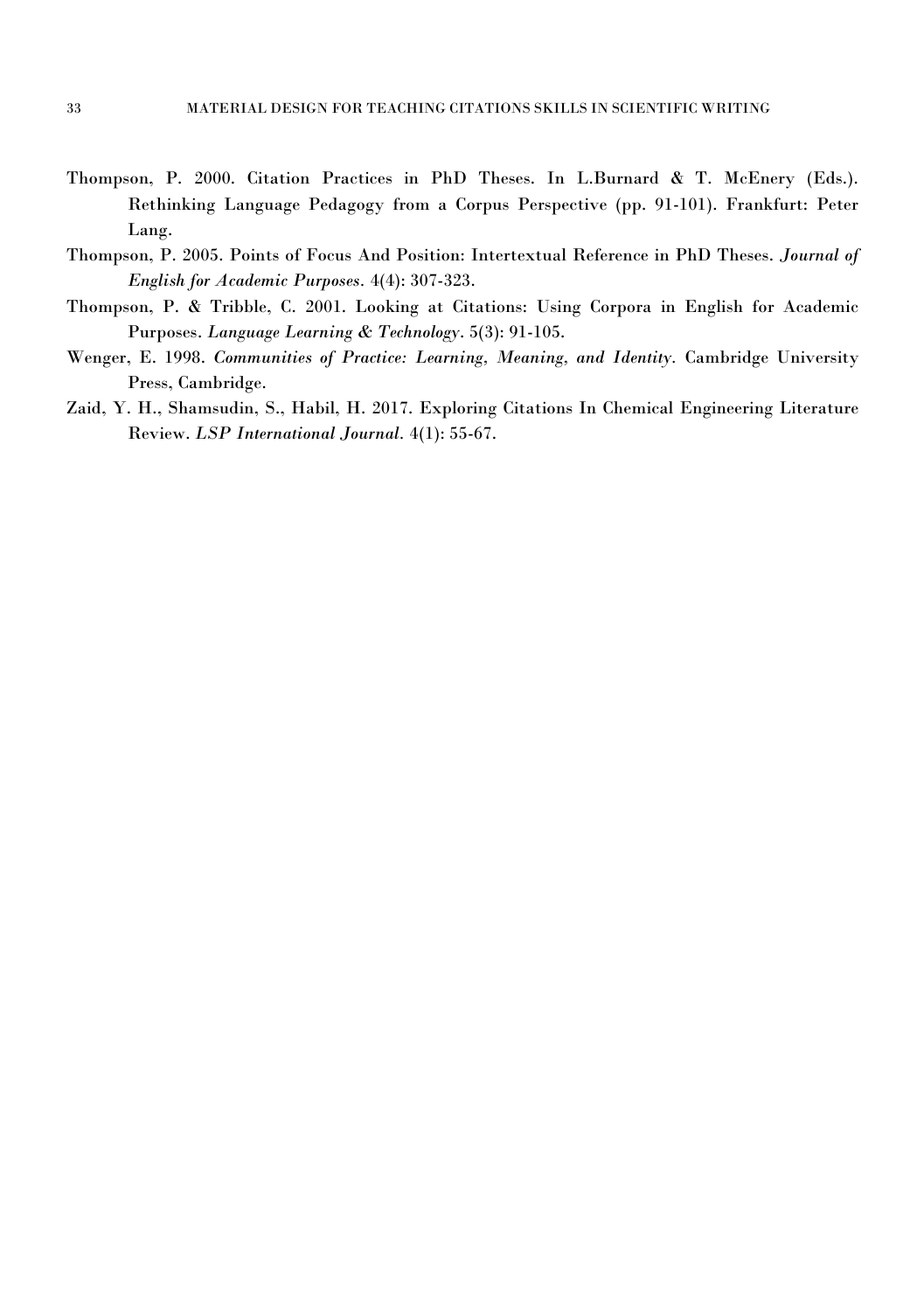- Thompson, P. 2000. Citation Practices in PhD Theses. In L.Burnard & T. McEnery (Eds.). Rethinking Language Pedagogy from a Corpus Perspective (pp. 91-101). Frankfurt: Peter Lang.
- Thompson, P. 2005. Points of Focus And Position: Intertextual Reference in PhD Theses. *Journal of English for Academic Purposes.* 4(4): 307-323.
- Thompson, P. & Tribble, C. 2001. Looking at Citations: Using Corpora in English for Academic Purposes. *Language Learning & Technology*. 5(3): 91-105.
- Wenger, E. 1998. *Communities of Practice: Learning, Meaning, and Identity.* Cambridge University Press, Cambridge.
- Zaid, Y. H., Shamsudin, S., Habil, H. 2017. Exploring Citations In Chemical Engineering Literature Review. *LSP International Journal.* 4(1): 55-67.